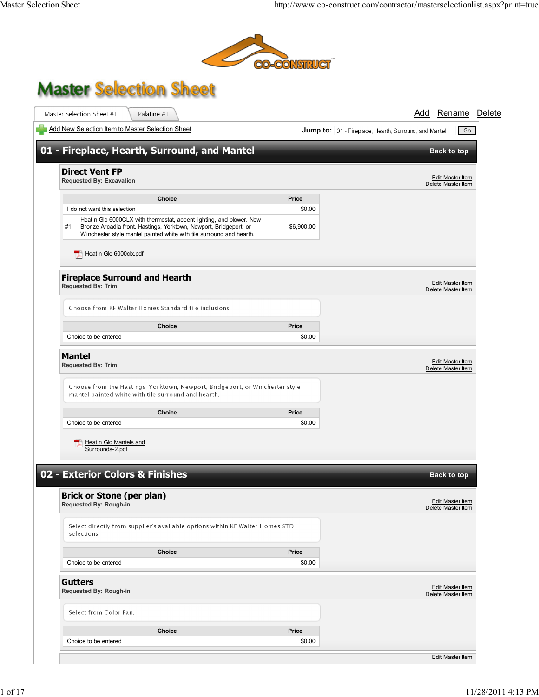

## **Master Selection Sheet**

| Add New Selection Item to Master Selection Sheet                                                                                                                                                                        |            | Jump to: 01 - Fireplace, Hearth, Surround, and Mantel<br>Go |
|-------------------------------------------------------------------------------------------------------------------------------------------------------------------------------------------------------------------------|------------|-------------------------------------------------------------|
|                                                                                                                                                                                                                         |            |                                                             |
| 01 - Fireplace, Hearth, Surround, and Mantel                                                                                                                                                                            |            | <b>Back to top</b>                                          |
| <b>Direct Vent FP</b>                                                                                                                                                                                                   |            |                                                             |
| <b>Requested By: Excavation</b>                                                                                                                                                                                         |            | Edit Master Item<br>Delete Master Item                      |
| <b>Choice</b>                                                                                                                                                                                                           | Price      |                                                             |
| I do not want this selection                                                                                                                                                                                            | \$0.00     |                                                             |
| Heat n Glo 6000CLX with thermostat, accent lighting, and blower. New<br>Bronze Arcadia front. Hastings, Yorktown, Newport, Bridgeport, or<br>#1<br>Winchester style mantel painted white with tile surround and hearth. | \$6,900.00 |                                                             |
| Heat n Glo 6000clx.pdf<br>ᇼ                                                                                                                                                                                             |            |                                                             |
| <b>Fireplace Surround and Hearth</b><br>Requested By: Trim                                                                                                                                                              |            | Edit Master Item<br>Delete Master Item                      |
| Choose from KF Walter Homes Standard tile inclusions.                                                                                                                                                                   |            |                                                             |
| <b>Choice</b>                                                                                                                                                                                                           | Price      |                                                             |
| Choice to be entered                                                                                                                                                                                                    | \$0.00     |                                                             |
| <b>Mantel</b>                                                                                                                                                                                                           |            |                                                             |
| <b>Requested By: Trim</b>                                                                                                                                                                                               |            | Edit Master Item                                            |
|                                                                                                                                                                                                                         |            | Delete Master Item                                          |
| Choose from the Hastings, Yorktown, Newport, Bridgeport, or Winchester style<br>mantel painted white with tile surround and hearth.                                                                                     |            |                                                             |
| Choice                                                                                                                                                                                                                  | Price      |                                                             |
| Choice to be entered                                                                                                                                                                                                    | \$0.00     |                                                             |
| Heat n Glo Mantels and<br>Surrounds-2.pdf                                                                                                                                                                               |            |                                                             |
|                                                                                                                                                                                                                         |            |                                                             |
| 02 - Exterior Colors & Finishes                                                                                                                                                                                         |            | <b>Back to top</b>                                          |
| <b>Brick or Stone (per plan)</b><br>Requested By: Rough-in                                                                                                                                                              |            | <b>Edit Master Item</b><br>Delete Master Item               |
| Select directly from supplier's available options within KF Walter Homes STD<br>selections.                                                                                                                             |            |                                                             |
| <b>Choice</b>                                                                                                                                                                                                           | Price      |                                                             |
| Choice to be entered                                                                                                                                                                                                    | \$0.00     |                                                             |
| <b>Gutters</b><br>Requested By: Rough-in                                                                                                                                                                                |            | <b>Edit Master Item</b><br>Delete Master Item               |
| Select from Color Fan.                                                                                                                                                                                                  |            |                                                             |
| Choice                                                                                                                                                                                                                  | Price      |                                                             |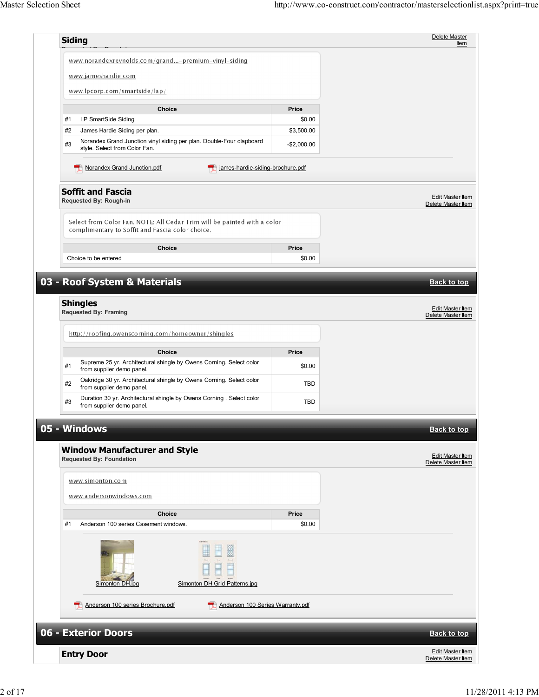| Price<br>\$0.00<br>\$3,500.00<br>$-$2,000.00$<br>james-hardie-siding-brochure.pdf<br>Price<br>\$0.00<br><b>Price</b><br>\$0.00 | Item<br><b>Edit Master Item</b><br>Delete Master Item<br><b>Back to top</b><br>Edit Master Item<br>Delete Master Item |
|--------------------------------------------------------------------------------------------------------------------------------|-----------------------------------------------------------------------------------------------------------------------|
|                                                                                                                                |                                                                                                                       |
|                                                                                                                                |                                                                                                                       |
|                                                                                                                                |                                                                                                                       |
|                                                                                                                                |                                                                                                                       |
|                                                                                                                                |                                                                                                                       |
|                                                                                                                                |                                                                                                                       |
|                                                                                                                                |                                                                                                                       |
|                                                                                                                                |                                                                                                                       |
|                                                                                                                                |                                                                                                                       |
|                                                                                                                                |                                                                                                                       |
|                                                                                                                                |                                                                                                                       |
|                                                                                                                                |                                                                                                                       |
|                                                                                                                                |                                                                                                                       |
|                                                                                                                                |                                                                                                                       |
|                                                                                                                                |                                                                                                                       |
|                                                                                                                                |                                                                                                                       |
|                                                                                                                                |                                                                                                                       |
|                                                                                                                                |                                                                                                                       |
|                                                                                                                                |                                                                                                                       |
|                                                                                                                                |                                                                                                                       |
| <b>TBD</b>                                                                                                                     |                                                                                                                       |
| <b>TBD</b>                                                                                                                     |                                                                                                                       |
|                                                                                                                                |                                                                                                                       |
|                                                                                                                                | <b>Back to top</b>                                                                                                    |
|                                                                                                                                | Edit Master Item<br>Delete Master Item                                                                                |
|                                                                                                                                |                                                                                                                       |
|                                                                                                                                |                                                                                                                       |
| Price                                                                                                                          |                                                                                                                       |
| \$0.00                                                                                                                         |                                                                                                                       |
|                                                                                                                                |                                                                                                                       |
| Anderson 100 Series Warranty.pdf                                                                                               |                                                                                                                       |
|                                                                                                                                |                                                                                                                       |
|                                                                                                                                |                                                                                                                       |
|                                                                                                                                | <b>Back to top</b>                                                                                                    |
|                                                                                                                                |                                                                                                                       |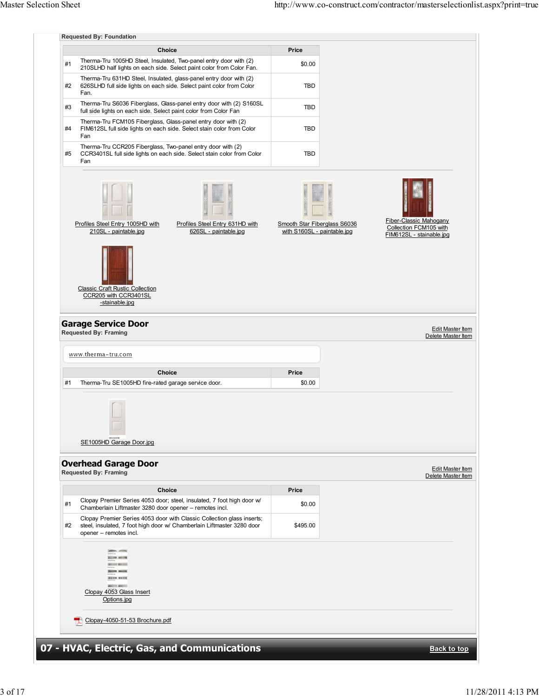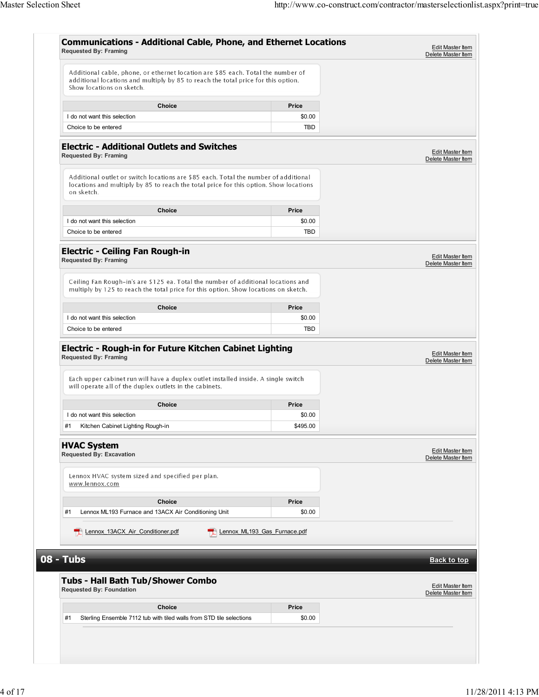| <b>Requested By: Framing</b>                                                                                                                                                                                                                       | <b>Communications - Additional Cable, Phone, and Ethernet Locations</b> | Edit Master Item<br>Delete Master Item |
|----------------------------------------------------------------------------------------------------------------------------------------------------------------------------------------------------------------------------------------------------|-------------------------------------------------------------------------|----------------------------------------|
| Additional cable, phone, or ethernet location are \$85 each. Total the number of<br>additional locations and multiply by 85 to reach the total price for this option.<br>Show locations on sketch.                                                 |                                                                         |                                        |
| <b>Choice</b>                                                                                                                                                                                                                                      | Price                                                                   |                                        |
| I do not want this selection                                                                                                                                                                                                                       | \$0.00                                                                  |                                        |
| Choice to be entered                                                                                                                                                                                                                               | <b>TBD</b>                                                              |                                        |
| <b>Electric - Additional Outlets and Switches</b><br><b>Requested By: Framing</b>                                                                                                                                                                  |                                                                         | Edit Master Item<br>Delete Master Item |
| Additional outlet or switch locations are \$85 each. Total the number of additional<br>locations and multiply by 85 to reach the total price for this option. Show locations<br>on sketch.                                                         |                                                                         |                                        |
| <b>Choice</b>                                                                                                                                                                                                                                      | Price                                                                   |                                        |
| I do not want this selection                                                                                                                                                                                                                       | \$0.00                                                                  |                                        |
| Choice to be entered                                                                                                                                                                                                                               | <b>TBD</b>                                                              |                                        |
| <b>Electric - Ceiling Fan Rough-in</b><br><b>Requested By: Framing</b><br>Ceiling Fan Rough-in's are \$125 ea. Total the number of additional locations and<br>multiply by 125 to reach the total price for this option. Show locations on sketch. |                                                                         | Edit Master Item<br>Delete Master Item |
|                                                                                                                                                                                                                                                    |                                                                         |                                        |
| <b>Choice</b>                                                                                                                                                                                                                                      | <b>Price</b>                                                            |                                        |
| I do not want this selection                                                                                                                                                                                                                       | \$0.00                                                                  |                                        |
| Choice to be entered                                                                                                                                                                                                                               | <b>TBD</b>                                                              |                                        |
| <b>Requested By: Framing</b>                                                                                                                                                                                                                       |                                                                         |                                        |
| Each upper cabinet run will have a duplex outlet installed inside. A single switch<br>will operate all of the duplex outlets in the cabinets.                                                                                                      |                                                                         | Delete Master Item                     |
|                                                                                                                                                                                                                                                    |                                                                         |                                        |
| Choice<br>I do not want this selection                                                                                                                                                                                                             | Price<br>\$0.00                                                         |                                        |
| #1<br>Kitchen Cabinet Lighting Rough-in                                                                                                                                                                                                            | \$495.00                                                                |                                        |
| <b>HVAC System</b><br><b>Requested By: Excavation</b>                                                                                                                                                                                              |                                                                         | Edit Master Item<br>Delete Master Item |
| Lennox HVAC system sized and specified per plan.<br>www.lennox.com                                                                                                                                                                                 |                                                                         |                                        |
| <b>Choice</b>                                                                                                                                                                                                                                      | <b>Price</b>                                                            |                                        |
| Lennox ML193 Furnace and 13ACX Air Conditioning Unit<br>#1                                                                                                                                                                                         | \$0.00                                                                  |                                        |
| Lennox 13ACX Air Conditioner.pdf<br>Lennox ML193 Gas Furnace.pdf                                                                                                                                                                                   |                                                                         |                                        |
| 08 - Tubs                                                                                                                                                                                                                                          |                                                                         | <b>Back to top</b>                     |
| <b>Tubs - Hall Bath Tub/Shower Combo</b><br><b>Requested By: Foundation</b>                                                                                                                                                                        |                                                                         | Edit Master Item<br>Delete Master Item |
| <b>Choice</b>                                                                                                                                                                                                                                      | <b>Price</b>                                                            |                                        |
| #1<br>Sterling Ensemble 7112 tub with tiled walls from STD tile selections                                                                                                                                                                         | \$0.00                                                                  |                                        |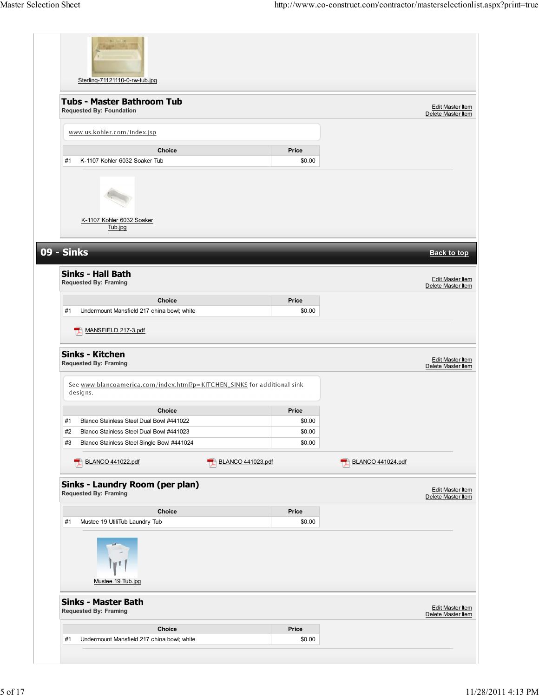| Sterling-71121110-0-rw-tub.jpg                                                                                                     |                   |                 |                   |                                                                                                                                   |
|------------------------------------------------------------------------------------------------------------------------------------|-------------------|-----------------|-------------------|-----------------------------------------------------------------------------------------------------------------------------------|
| <b>Tubs - Master Bathroom Tub</b><br><b>Requested By: Foundation</b>                                                               |                   |                 |                   | Edit Master Item<br>Delete Master Item                                                                                            |
| www.us.kohler.com/index.jsp                                                                                                        |                   |                 |                   |                                                                                                                                   |
| Choice<br>K-1107 Kohler 6032 Soaker Tub<br>#1                                                                                      |                   | Price<br>\$0.00 |                   |                                                                                                                                   |
| K-1107 Kohler 6032 Soaker<br>Tub.jpg                                                                                               |                   |                 |                   |                                                                                                                                   |
| <b>09 - Sinks</b>                                                                                                                  |                   |                 |                   | <b>Back to top</b>                                                                                                                |
| <b>Sinks - Hall Bath</b><br><b>Requested By: Framing</b>                                                                           |                   |                 |                   | Edit Master Item<br>Delete Master Item                                                                                            |
| Choice                                                                                                                             |                   | Price           |                   |                                                                                                                                   |
| #1<br>Undermount Mansfield 217 china bowl; white                                                                                   |                   | \$0.00          |                   |                                                                                                                                   |
| MANSFIELD 217-3.pdf<br>ᄄ                                                                                                           |                   |                 |                   |                                                                                                                                   |
| <b>Sinks - Kitchen</b><br><b>Requested By: Framing</b><br>See www.blancoamerica.com/index.html?p=KITCHEN_SINKS for additional sink |                   |                 |                   |                                                                                                                                   |
| designs.                                                                                                                           |                   |                 |                   |                                                                                                                                   |
| Choice                                                                                                                             |                   | Price           |                   |                                                                                                                                   |
| Blanco Stainless Steel Dual Bowl #441022<br>#1                                                                                     |                   | \$0.00          |                   |                                                                                                                                   |
| Blanco Stainless Steel Dual Bowl #441023<br>#2                                                                                     |                   | \$0.00          |                   |                                                                                                                                   |
| #3<br>Blanco Stainless Steel Single Bowl #441024                                                                                   |                   | \$0.00          |                   |                                                                                                                                   |
| BLANCO 441022.pdf                                                                                                                  | BLANCO 441023.pdf |                 | BLANCO 441024.pdf |                                                                                                                                   |
| Sinks - Laundry Room (per plan)<br><b>Requested By: Framing</b>                                                                    |                   |                 |                   |                                                                                                                                   |
| Choice                                                                                                                             |                   | Price           |                   |                                                                                                                                   |
| Mustee 19 UtiliTub Laundry Tub<br>#1<br>Mustee 19 Tub.jpg                                                                          |                   | \$0.00          |                   |                                                                                                                                   |
| <b>Sinks - Master Bath</b><br>Requested By: Framing                                                                                |                   |                 |                   |                                                                                                                                   |
| Choice                                                                                                                             |                   | Price           |                   | <b>Edit Master Item</b><br>Delete Master Item<br>Edit Master Item<br>Delete Master Item<br>Edit Master Item<br>Delete Master Item |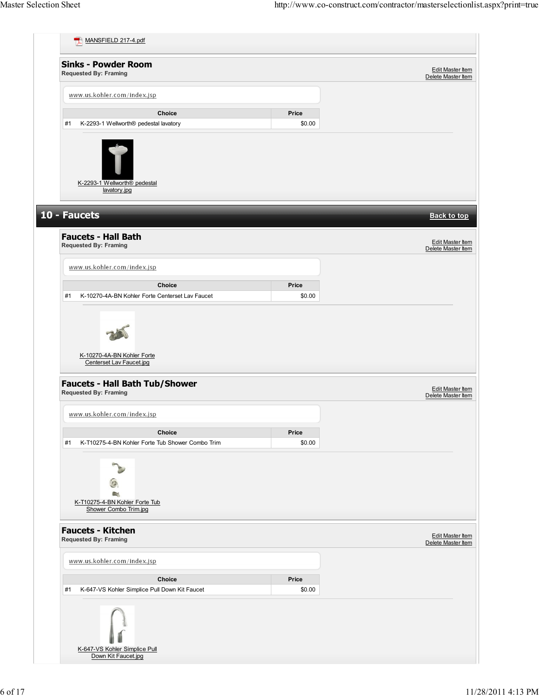| <b>Sinks - Powder Room</b><br><b>Requested By: Framing</b>                |                 | Edit Master Item<br>Delete Master Item                                                  |
|---------------------------------------------------------------------------|-----------------|-----------------------------------------------------------------------------------------|
| www.us.kohler.com/index.jsp                                               |                 |                                                                                         |
| Choice                                                                    | Price           |                                                                                         |
| K-2293-1 Wellworth® pedestal lavatory<br>#1                               | \$0.00          |                                                                                         |
| K-2293-1 Wellworth <sup>®</sup> pedestal<br>lavatory.jpg                  |                 |                                                                                         |
| 10 - Faucets                                                              |                 | <b>Back to top</b>                                                                      |
| <b>Faucets - Hall Bath</b><br><b>Requested By: Framing</b>                |                 | Edit Master Item<br>Delete Master Item                                                  |
| www.us.kohler.com/index.jsp                                               |                 |                                                                                         |
| <b>Choice</b>                                                             | Price           |                                                                                         |
| #1<br>K-10270-4A-BN Kohler Forte Centerset Lav Faucet                     | \$0.00          |                                                                                         |
| K-10270-4A-BN Kohler Forte<br>Centerset Lav Faucet.jpg                    |                 |                                                                                         |
| <b>Faucets - Hall Bath Tub/Shower</b><br><b>Requested By: Framing</b>     |                 |                                                                                         |
| www.us.kohler.com/index.jsp                                               |                 |                                                                                         |
| <b>Choice</b>                                                             | Price           |                                                                                         |
| #1<br>K-T10275-4-BN Kohler Forte Tub Shower Combo Trim                    | \$0.00          |                                                                                         |
| $\blacksquare$<br>K-T10275-4-BN Kohler Forte Tub<br>Shower Combo Trim.jpg |                 |                                                                                         |
| <b>Faucets - Kitchen</b><br><b>Requested By: Framing</b>                  |                 |                                                                                         |
| www.us.kohler.com/index.jsp                                               |                 |                                                                                         |
| Choice<br>K-647-VS Kohler Simplice Pull Down Kit Faucet<br>#1             | Price<br>\$0.00 | Edit Master Item<br>Delete Master Item<br><b>Edit Master Item</b><br>Delete Master Item |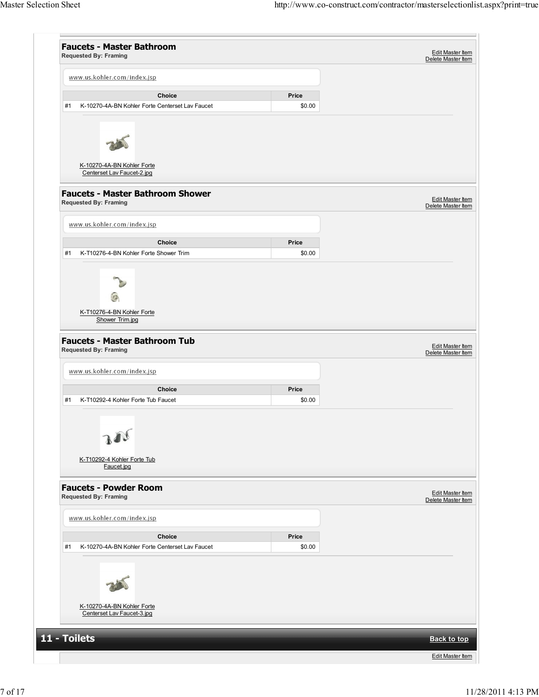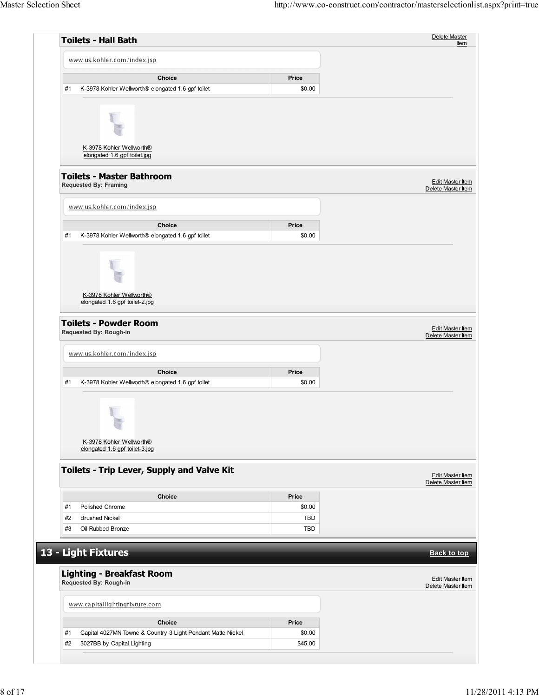| <b>Toilets - Hall Bath</b>                                                                            |                   | Delete Master<br><b>Item</b>                  |
|-------------------------------------------------------------------------------------------------------|-------------------|-----------------------------------------------|
| www.us.kohler.com/index.jsp                                                                           |                   |                                               |
| Choice                                                                                                | Price             |                                               |
| #1<br>K-3978 Kohler Wellworth® elongated 1.6 gpf toilet                                               | \$0.00            |                                               |
| K-3978 Kohler Wellworth®<br>elongated 1.6 gpf toilet.jpg                                              |                   |                                               |
| <b>Toilets - Master Bathroom</b><br><b>Requested By: Framing</b>                                      |                   | <b>Edit Master Item</b><br>Delete Master Item |
| www.us.kohler.com/index.jsp                                                                           |                   |                                               |
| Choice                                                                                                | Price             |                                               |
| K-3978 Kohler Wellworth® elongated 1.6 gpf toilet<br>#1                                               | \$0.00            |                                               |
| K-3978 Kohler Wellworth®<br>elongated 1.6 gpf toilet-2.jpg                                            |                   |                                               |
| <b>Toilets - Powder Room</b><br>Requested By: Rough-in                                                |                   | Edit Master Item<br>Delete Master Item        |
| www.us.kohler.com/index.jsp                                                                           |                   |                                               |
| Choice<br>#1<br>K-3978 Kohler Wellworth® elongated 1.6 gpf toilet                                     | Price<br>\$0.00   |                                               |
| K-3978 Kohler Wellworth®<br>elongated 1.6 gpf toilet-3.jpg                                            |                   |                                               |
| Toilets - Trip Lever, Supply and Valve Kit                                                            |                   | Edit Master Item<br>Delete Master Item        |
| Choice                                                                                                | Price             |                                               |
| #1<br>Polished Chrome                                                                                 | \$0.00            |                                               |
| #2<br><b>Brushed Nickel</b>                                                                           | <b>TBD</b>        |                                               |
| #3<br>Oil Rubbed Bronze                                                                               | <b>TBD</b>        |                                               |
|                                                                                                       |                   |                                               |
| 13 - Light Fixtures<br><b>Lighting - Breakfast Room</b>                                               |                   | <b>Back to top</b>                            |
| Requested By: Rough-in                                                                                |                   | Edit Master Item<br>Delete Master Item        |
| www.capitallightingfixture.com                                                                        |                   |                                               |
|                                                                                                       |                   |                                               |
| Choice                                                                                                | Price             |                                               |
| #1<br>Capital 4027MN Towne & Country 3 Light Pendant Matte Nickel<br>#2<br>3027BB by Capital Lighting | \$0.00<br>\$45.00 |                                               |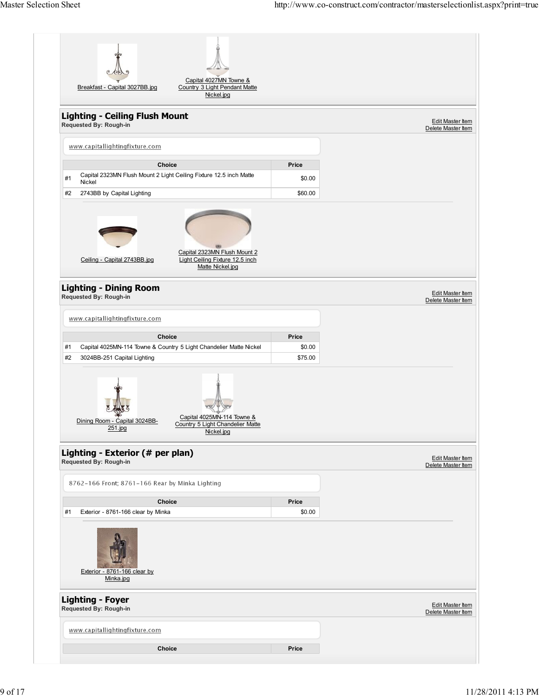| Capital 4027MN Towne &<br>Country 3 Light Pendant Matte<br>Breakfast - Capital 3027BB.jpg<br>Nickel.jpg                  |                   |                                               |
|--------------------------------------------------------------------------------------------------------------------------|-------------------|-----------------------------------------------|
| <b>Lighting - Ceiling Flush Mount</b><br>Requested By: Rough-in                                                          |                   | Edit Master Item<br>Delete Master Item        |
| www.capitallightingfixture.com                                                                                           |                   |                                               |
| Choice                                                                                                                   | Price             |                                               |
| Capital 2323MN Flush Mount 2 Light Ceiling Fixture 12.5 inch Matte<br>#1<br>Nickel                                       | \$0.00            |                                               |
| 2743BB by Capital Lighting<br>#2                                                                                         | \$60.00           |                                               |
| Capital 2323MN Flush Mount 2<br>Light Ceiling Fixture 12.5 inch<br>Ceiling - Capital 2743BB.jpg<br>Matte Nickel.jpg      |                   |                                               |
| <b>Lighting - Dining Room</b><br>Requested By: Rough-in                                                                  |                   | Edit Master Item<br>Delete Master Item        |
| www.capitallightingfixture.com                                                                                           |                   |                                               |
| <b>Choice</b>                                                                                                            | Price             |                                               |
| Capital 4025MN-114 Towne & Country 5 Light Chandelier Matte Nickel<br>#1<br>#2<br>3024BB-251 Capital Lighting            | \$0.00<br>\$75.00 |                                               |
| Capital 4025MN-114 Towne &<br>Dining Room - Capital 3024BB-<br>Country 5 Light Chandelier Matte<br>251.jpg<br>Nickel.jpg |                   |                                               |
| Lighting - Exterior (# per plan)<br>Requested By: Rough-in                                                               |                   | <b>Edit Master Item</b><br>Delete Master Item |
| 8762-166 Front; 8761-166 Rear by Minka Lighting                                                                          |                   |                                               |
| Choice                                                                                                                   | Price             |                                               |
| #1<br>Exterior - 8761-166 clear by Minka<br>Exterior - 8761-166 clear by<br>Minka.jpg                                    | \$0.00            |                                               |
| <b>Lighting - Foyer</b>                                                                                                  |                   | Edit Master Item<br>Delete Master Item        |
| Requested By: Rough-in                                                                                                   |                   |                                               |
| www.capitallightingfixture.com                                                                                           |                   |                                               |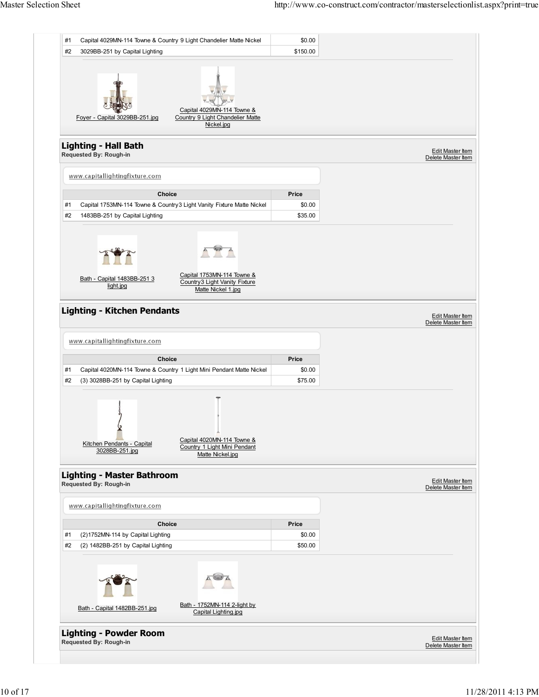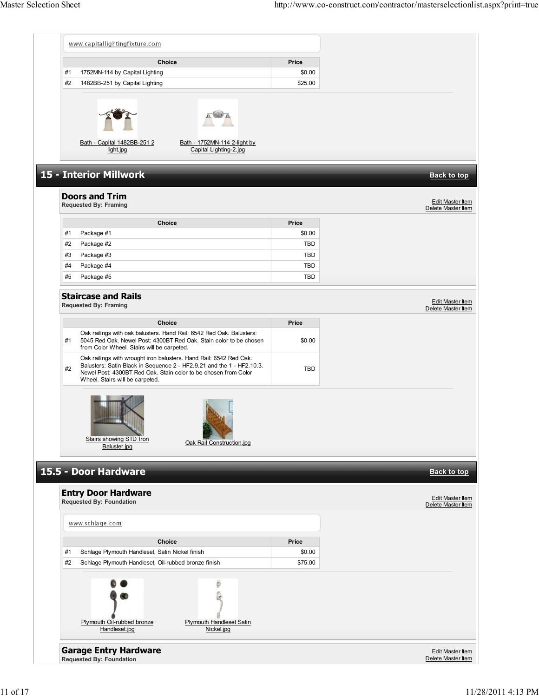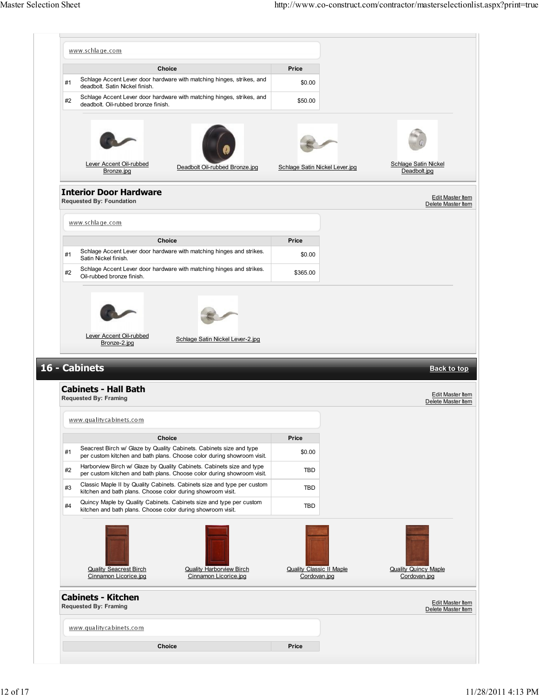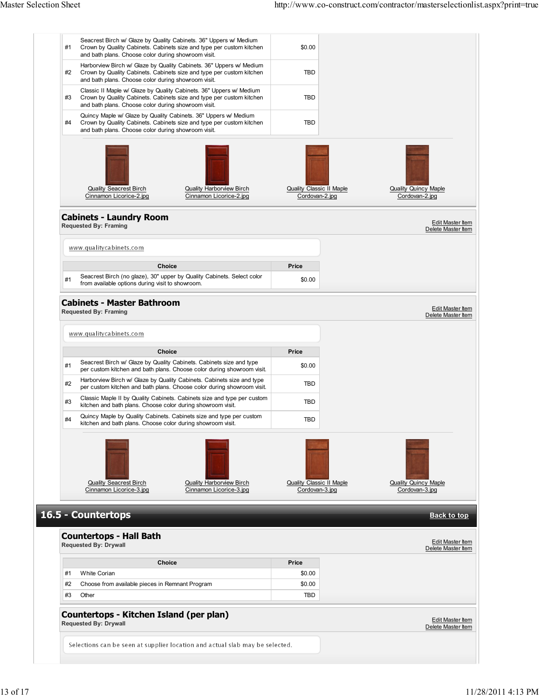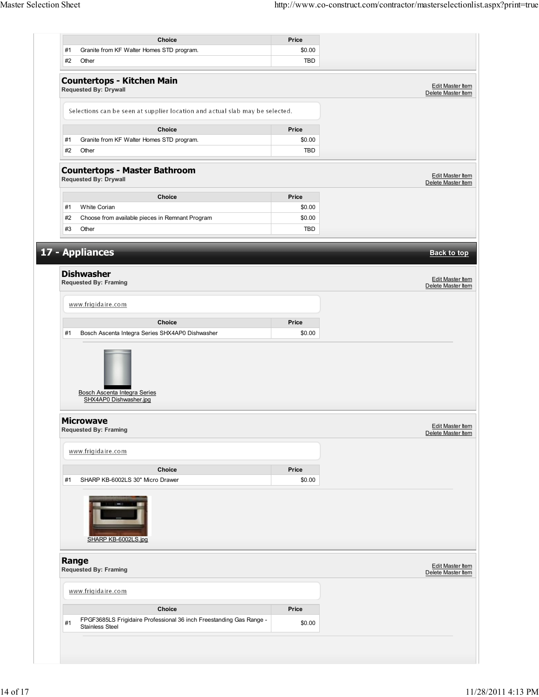| Choice                                                                                       |                 |                                               |
|----------------------------------------------------------------------------------------------|-----------------|-----------------------------------------------|
| Granite from KF Walter Homes STD program.<br>#1                                              | Price<br>\$0.00 |                                               |
|                                                                                              |                 |                                               |
| #2<br>Other                                                                                  | <b>TBD</b>      |                                               |
| <b>Countertops - Kitchen Main</b>                                                            |                 |                                               |
| Requested By: Drywall                                                                        |                 | Edit Master Item<br>Delete Master Item        |
| Selections can be seen at supplier location and actual slab may be selected.                 |                 |                                               |
| Choice                                                                                       | Price           |                                               |
| Granite from KF Walter Homes STD program.<br>#1                                              | \$0.00          |                                               |
| #2<br>Other                                                                                  | <b>TBD</b>      |                                               |
| <b>Countertops - Master Bathroom</b><br><b>Requested By: Drywall</b>                         |                 | <b>Edit Master Item</b><br>Delete Master Item |
| <b>Choice</b>                                                                                | Price           |                                               |
| White Corian<br>#1                                                                           | \$0.00          |                                               |
| #2<br>Choose from available pieces in Remnant Program                                        | \$0.00          |                                               |
| #3<br>Other                                                                                  | <b>TBD</b>      |                                               |
|                                                                                              |                 |                                               |
| 17 - Appliances                                                                              |                 | <b>Back to top</b>                            |
| <b>Dishwasher</b><br><b>Requested By: Framing</b>                                            |                 | Edit Master Item                              |
|                                                                                              |                 | Delete Master Item                            |
| www.frigidaire.com                                                                           |                 |                                               |
|                                                                                              |                 |                                               |
|                                                                                              |                 |                                               |
| <b>Choice</b><br>Bosch Ascenta Integra Series SHX4AP0 Dishwasher<br>#1                       | Price<br>\$0.00 |                                               |
| <b>Bosch Ascenta Integra Series</b>                                                          |                 |                                               |
| SHX4AP0 Dishwasher.jpg<br><b>Microwave</b>                                                   |                 |                                               |
| <b>Requested By: Framing</b>                                                                 |                 |                                               |
| www.frigidaire.com                                                                           |                 |                                               |
|                                                                                              |                 |                                               |
| Choice<br>SHARP KB-6002LS 30" Micro Drawer<br>#1                                             | Price           |                                               |
|                                                                                              | \$0.00          | Edit Master Item<br>Delete Master Item        |
| SHARP KB-6002LS.jpg                                                                          |                 |                                               |
|                                                                                              |                 |                                               |
| Range<br><b>Requested By: Framing</b>                                                        |                 |                                               |
| www.frigidaire.com                                                                           |                 |                                               |
| Choice                                                                                       | Price           | Edit Master Item<br>Delete Master Item        |
| FPGF3685LS Frigidaire Professional 36 inch Freestanding Gas Range -<br>#1<br>Stainless Steel | \$0.00          |                                               |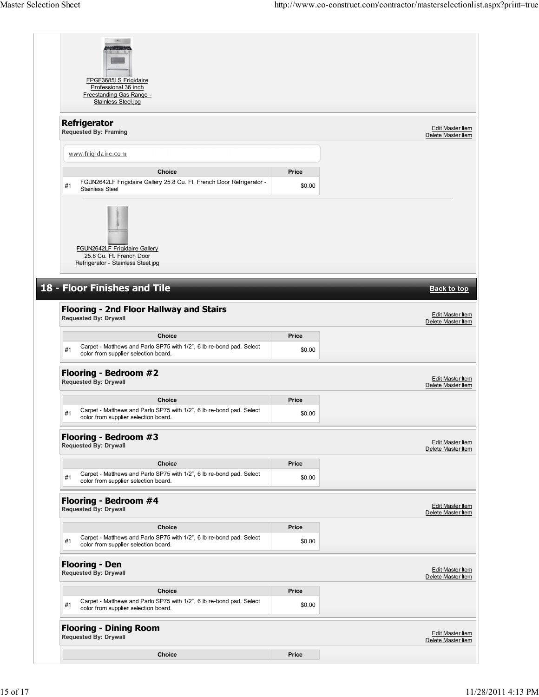|        | Edit Master Item<br>Delete Master Item                                                  |
|--------|-----------------------------------------------------------------------------------------|
|        |                                                                                         |
| Price  |                                                                                         |
| \$0.00 |                                                                                         |
|        |                                                                                         |
|        |                                                                                         |
|        |                                                                                         |
|        |                                                                                         |
|        |                                                                                         |
|        |                                                                                         |
|        | <b>Back to top</b>                                                                      |
|        |                                                                                         |
|        | Edit Master Item<br>Delete Master Item                                                  |
| Price  |                                                                                         |
| \$0.00 |                                                                                         |
|        |                                                                                         |
|        | <b>Edit Master Item</b><br>Delete Master Item                                           |
|        |                                                                                         |
|        |                                                                                         |
| \$0.00 |                                                                                         |
|        |                                                                                         |
|        |                                                                                         |
| Price  |                                                                                         |
| \$0.00 |                                                                                         |
|        |                                                                                         |
|        |                                                                                         |
|        |                                                                                         |
| Price  |                                                                                         |
| \$0.00 | <b>Edit Master Item</b><br>Delete Master Item<br>Edit Master Item<br>Delete Master Item |
|        |                                                                                         |
| Price  |                                                                                         |
| \$0.00 | Edit Master Item<br>Delete Master Item                                                  |
|        |                                                                                         |
|        | <b>Edit Master Item</b><br>Delete Master Item                                           |
|        | Price                                                                                   |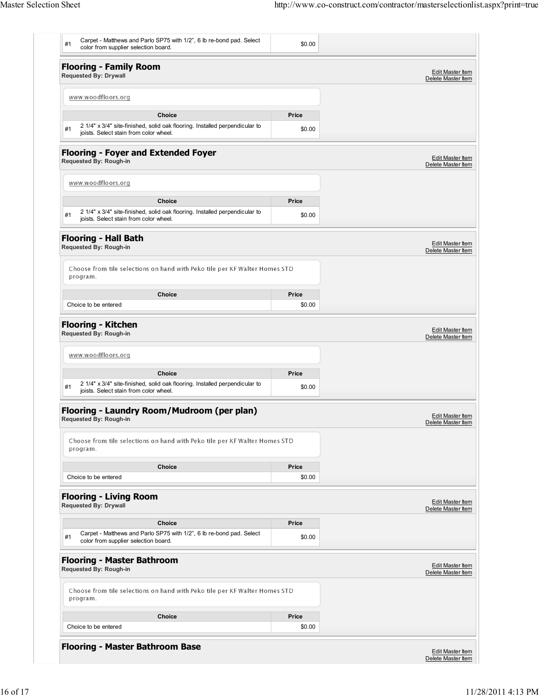| <b>Choice</b><br>Choice to be entered                                                                                       | \$0.00 |                                        |
|-----------------------------------------------------------------------------------------------------------------------------|--------|----------------------------------------|
|                                                                                                                             |        |                                        |
|                                                                                                                             | Price  |                                        |
| Choose from tile selections on hand with Peko tile per KF Walter Homes STD<br>program.                                      |        |                                        |
| <b>Flooring - Master Bathroom</b><br>Requested By: Rough-in                                                                 |        | Edit Master Item<br>Delete Master Item |
| Carpet - Matthews and Parlo SP75 with 1/2", 6 lb re-bond pad. Select<br>#1<br>color from supplier selection board.          | \$0.00 |                                        |
| <b>Choice</b>                                                                                                               | Price  |                                        |
| <b>Flooring - Living Room</b><br><b>Requested By: Drywall</b>                                                               |        | Edit Master Item<br>Delete Master Item |
| Choice to be entered                                                                                                        | \$0.00 |                                        |
| Choose from tile selections on hand with Peko tile per KF Walter Homes STD<br>program.<br>Choice                            | Price  |                                        |
| Flooring - Laundry Room/Mudroom (per plan)<br>Requested By: Rough-in                                                        |        | Edit Master Item<br>Delete Master Item |
| 2 1/4" x 3/4" site-finished, solid oak flooring. Installed perpendicular to<br>#1<br>joists. Select stain from color wheel. | \$0.00 |                                        |
| Choice                                                                                                                      | Price  |                                        |
| www.woodfloors.org                                                                                                          |        |                                        |
| <b>Flooring - Kitchen</b><br>Requested By: Rough-in                                                                         |        | Edit Master Item<br>Delete Master Item |
| Choice to be entered                                                                                                        | \$0.00 |                                        |
| program.<br><b>Choice</b>                                                                                                   | Price  |                                        |
| Choose from tile selections on hand with Peko tile per KF Walter Homes STD                                                  |        |                                        |
| <b>Flooring - Hall Bath</b><br>Requested By: Rough-in                                                                       |        | Edit Master Item<br>Delete Master Item |
| 2 1/4" x 3/4" site-finished, solid oak flooring. Installed perpendicular to<br>#1<br>joists. Select stain from color wheel. | \$0.00 |                                        |
| <b>Choice</b>                                                                                                               | Price  |                                        |
| www.woodfloors.org                                                                                                          |        |                                        |
| <b>Flooring - Foyer and Extended Foyer</b><br>Requested By: Rough-in                                                        |        | Edit Master Item<br>Delete Master Item |
| 2 1/4" x 3/4" site-finished, solid oak flooring. Installed perpendicular to<br>#1<br>joists. Select stain from color wheel. | \$0.00 |                                        |
| <b>Choice</b>                                                                                                               | Price  |                                        |
| www.woodfloors.org                                                                                                          |        |                                        |
| <b>Flooring - Family Room</b><br><b>Requested By: Drywall</b>                                                               |        | Edit Master Item<br>Delete Master Item |
| #1<br>color from supplier selection board.                                                                                  | \$0.00 |                                        |
| Carpet - Matthews and Parlo SP75 with 1/2", 6 lb re-bond pad. Select                                                        |        |                                        |